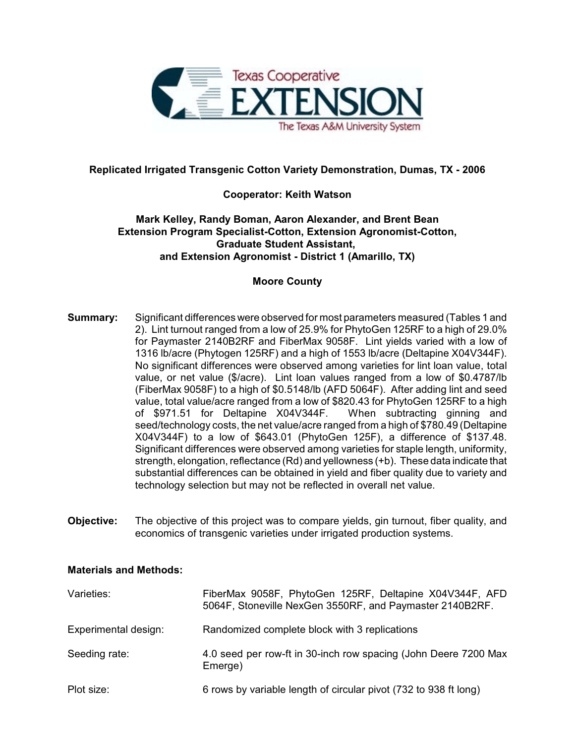

# **Replicated Irrigated Transgenic Cotton Variety Demonstration, Dumas, TX - 2006**

## **Cooperator: Keith Watson**

## **Mark Kelley, Randy Boman, Aaron Alexander, and Brent Bean Extension Program Specialist-Cotton, Extension Agronomist-Cotton, Graduate Student Assistant, and Extension Agronomist - District 1 (Amarillo, TX)**

### **Moore County**

- **Summary:** Significant differences were observed for most parameters measured (Tables 1 and 2). Lint turnout ranged from a low of 25.9% for PhytoGen 125RF to a high of 29.0% for Paymaster 2140B2RF and FiberMax 9058F. Lint yields varied with a low of 1316 lb/acre (Phytogen 125RF) and a high of 1553 lb/acre (Deltapine X04V344F). No significant differences were observed among varieties for lint loan value, total value, or net value (\$/acre). Lint loan values ranged from a low of \$0.4787/lb (FiberMax 9058F) to a high of \$0.5148/lb (AFD 5064F). After adding lint and seed value, total value/acre ranged from a low of \$820.43 for PhytoGen 125RF to a high of \$971.51 for Deltapine X04V344F. When subtracting ginning and seed/technology costs, the net value/acre ranged from a high of \$780.49 (Deltapine X04V344F) to a low of \$643.01 (PhytoGen 125F), a difference of \$137.48. Significant differences were observed among varieties for staple length, uniformity, strength, elongation, reflectance (Rd) and yellowness (+b). These data indicate that substantial differences can be obtained in yield and fiber quality due to variety and technology selection but may not be reflected in overall net value.
- **Objective:** The objective of this project was to compare yields, gin turnout, fiber quality, and economics of transgenic varieties under irrigated production systems.

### **Materials and Methods:**

| Varieties:           | FiberMax 9058F, PhytoGen 125RF, Deltapine X04V344F, AFD<br>5064F, Stoneville NexGen 3550RF, and Paymaster 2140B2RF. |
|----------------------|---------------------------------------------------------------------------------------------------------------------|
| Experimental design: | Randomized complete block with 3 replications                                                                       |
| Seeding rate:        | 4.0 seed per row-ft in 30-inch row spacing (John Deere 7200 Max<br>Emerge)                                          |
| Plot size:           | 6 rows by variable length of circular pivot (732 to 938 ft long)                                                    |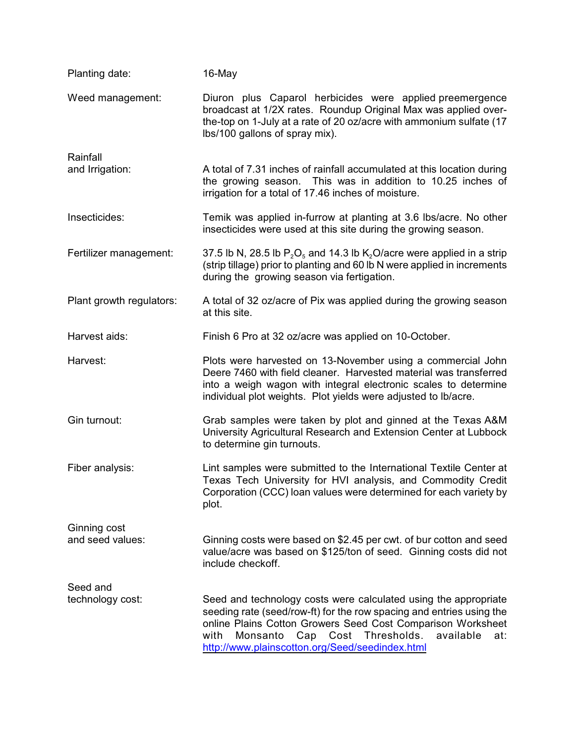| Planting date:           | 16-May                                                                                                                                                                                                                                                                                                                    |
|--------------------------|---------------------------------------------------------------------------------------------------------------------------------------------------------------------------------------------------------------------------------------------------------------------------------------------------------------------------|
| Weed management:         | Diuron plus Caparol herbicides were applied preemergence<br>broadcast at 1/2X rates. Roundup Original Max was applied over-<br>the-top on 1-July at a rate of 20 oz/acre with ammonium sulfate (17<br>lbs/100 gallons of spray mix).                                                                                      |
| Rainfall                 |                                                                                                                                                                                                                                                                                                                           |
| and Irrigation:          | A total of 7.31 inches of rainfall accumulated at this location during<br>the growing season. This was in addition to 10.25 inches of<br>irrigation for a total of 17.46 inches of moisture.                                                                                                                              |
| Insecticides:            | Temik was applied in-furrow at planting at 3.6 lbs/acre. No other<br>insecticides were used at this site during the growing season.                                                                                                                                                                                       |
| Fertilizer management:   | 37.5 lb N, 28.5 lb $P_2O_5$ and 14.3 lb K <sub>2</sub> O/acre were applied in a strip<br>(strip tillage) prior to planting and 60 lb N were applied in increments<br>during the growing season via fertigation.                                                                                                           |
| Plant growth regulators: | A total of 32 oz/acre of Pix was applied during the growing season<br>at this site.                                                                                                                                                                                                                                       |
| Harvest aids:            | Finish 6 Pro at 32 oz/acre was applied on 10-October.                                                                                                                                                                                                                                                                     |
| Harvest:                 | Plots were harvested on 13-November using a commercial John<br>Deere 7460 with field cleaner. Harvested material was transferred<br>into a weigh wagon with integral electronic scales to determine<br>individual plot weights. Plot yields were adjusted to Ib/acre.                                                     |
| Gin turnout:             | Grab samples were taken by plot and ginned at the Texas A&M<br>University Agricultural Research and Extension Center at Lubbock<br>to determine gin turnouts.                                                                                                                                                             |
| Fiber analysis:          | Lint samples were submitted to the International Textile Center at<br>Texas Tech University for HVI analysis, and Commodity Credit<br>Corporation (CCC) loan values were determined for each variety by<br>plot.                                                                                                          |
| Ginning cost             |                                                                                                                                                                                                                                                                                                                           |
| and seed values:         | Ginning costs were based on \$2.45 per cwt. of bur cotton and seed<br>value/acre was based on \$125/ton of seed. Ginning costs did not<br>include checkoff.                                                                                                                                                               |
| Seed and                 |                                                                                                                                                                                                                                                                                                                           |
| technology cost:         | Seed and technology costs were calculated using the appropriate<br>seeding rate (seed/row-ft) for the row spacing and entries using the<br>online Plains Cotton Growers Seed Cost Comparison Worksheet<br>Cap Cost Thresholds.<br>with<br>Monsanto<br>available<br>at:<br>http://www.plainscotton.org/Seed/seedindex.html |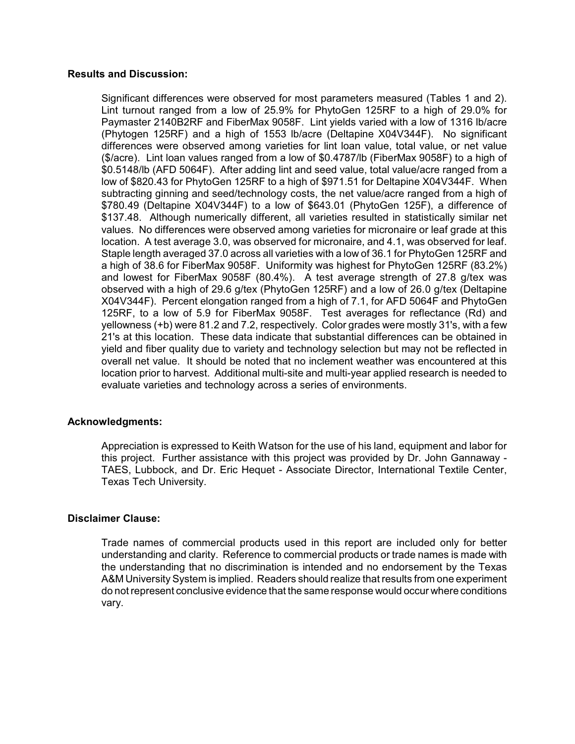#### **Results and Discussion:**

Significant differences were observed for most parameters measured (Tables 1 and 2). Lint turnout ranged from a low of 25.9% for PhytoGen 125RF to a high of 29.0% for Paymaster 2140B2RF and FiberMax 9058F. Lint yields varied with a low of 1316 lb/acre (Phytogen 125RF) and a high of 1553 lb/acre (Deltapine X04V344F). No significant differences were observed among varieties for lint loan value, total value, or net value (\$/acre). Lint loan values ranged from a low of \$0.4787/lb (FiberMax 9058F) to a high of \$0.5148/lb (AFD 5064F). After adding lint and seed value, total value/acre ranged from a low of \$820.43 for PhytoGen 125RF to a high of \$971.51 for Deltapine X04V344F. When subtracting ginning and seed/technology costs, the net value/acre ranged from a high of \$780.49 (Deltapine X04V344F) to a low of \$643.01 (PhytoGen 125F), a difference of \$137.48. Although numerically different, all varieties resulted in statistically similar net values. No differences were observed among varieties for micronaire or leaf grade at this location. A test average 3.0, was observed for micronaire, and 4.1, was observed for leaf. Staple length averaged 37.0 across all varieties with a low of 36.1 for PhytoGen 125RF and a high of 38.6 for FiberMax 9058F. Uniformity was highest for PhytoGen 125RF (83.2%) and lowest for FiberMax 9058F (80.4%). A test average strength of 27.8 g/tex was observed with a high of 29.6 g/tex (PhytoGen 125RF) and a low of 26.0 g/tex (Deltapine X04V344F). Percent elongation ranged from a high of 7.1, for AFD 5064F and PhytoGen 125RF, to a low of 5.9 for FiberMax 9058F. Test averages for reflectance (Rd) and yellowness (+b) were 81.2 and 7.2, respectively. Color grades were mostly 31's, with a few 21's at this location. These data indicate that substantial differences can be obtained in yield and fiber quality due to variety and technology selection but may not be reflected in overall net value. It should be noted that no inclement weather was encountered at this location prior to harvest. Additional multi-site and multi-year applied research is needed to evaluate varieties and technology across a series of environments.

### **Acknowledgments:**

Appreciation is expressed to Keith Watson for the use of his land, equipment and labor for this project. Further assistance with this project was provided by Dr. John Gannaway - TAES, Lubbock, and Dr. Eric Hequet - Associate Director, International Textile Center, Texas Tech University.

### **Disclaimer Clause:**

Trade names of commercial products used in this report are included only for better understanding and clarity. Reference to commercial products or trade names is made with the understanding that no discrimination is intended and no endorsement by the Texas A&M University System is implied. Readers should realize that results from one experiment do not represent conclusive evidence that the same response would occur where conditions vary.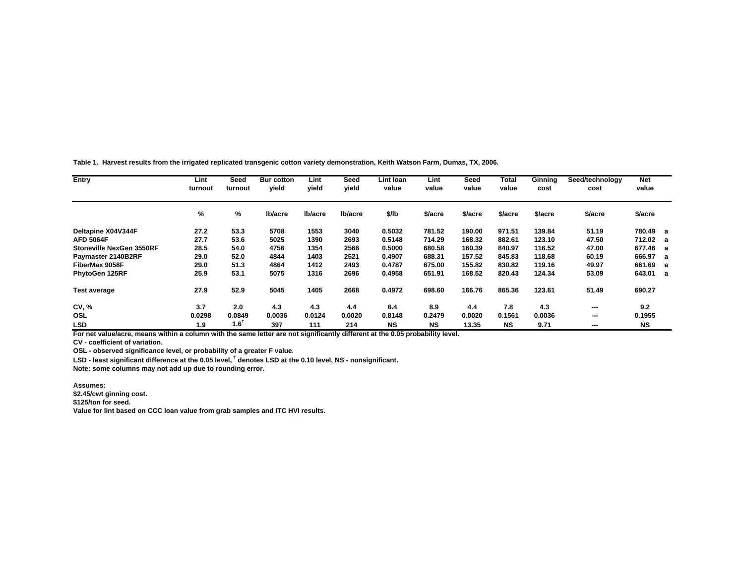**Table 1. Harvest results from the irrigated replicated transgenic cotton variety demonstration, Keith Watson Farm, Dumas, TX, 2006.**

| Entry                           | Lint<br>turnout | Seed<br>turnout | <b>Bur cotton</b><br>vield | Lint<br>vield | Seed<br>vield | Lint Ioan<br>value | Lint<br>value | Seed<br>value | Total<br>value | Ginning<br>cost | Seed/technology<br>cost | <b>Net</b><br>value |  |
|---------------------------------|-----------------|-----------------|----------------------------|---------------|---------------|--------------------|---------------|---------------|----------------|-----------------|-------------------------|---------------------|--|
|                                 | %               | %               | Ib/acre                    | Ib/acre       | Ib/acre       | \$/lb              | \$/acre       | \$/acre       | \$/acre        | \$/acre         | \$/acre                 | \$/acre             |  |
| Deltapine X04V344F              | 27.2            | 53.3            | 5708                       | 1553          | 3040          | 0.5032             | 781.52        | 190.00        | 971.51         | 139.84          | 51.19                   | 780.49 a            |  |
| <b>AFD 5064F</b>                | 27.7            | 53.6            | 5025                       | 1390          | 2693          | 0.5148             | 714.29        | 168.32        | 882.61         | 123.10          | 47.50                   | 712.02 a            |  |
| <b>Stoneville NexGen 3550RF</b> | 28.5            | 54.0            | 4756                       | 1354          | 2566          | 0.5000             | 680.58        | 160.39        | 840.97         | 116.52          | 47.00                   | 677.46 a            |  |
| Paymaster 2140B2RF              | 29.0            | 52.0            | 4844                       | 1403          | 2521          | 0.4907             | 688.31        | 157.52        | 845.83         | 118.68          | 60.19                   | 666.97 a            |  |
| FiberMax 9058F                  | 29.0            | 51.3            | 4864                       | 1412          | 2493          | 0.4787             | 675.00        | 155.82        | 830.82         | 119.16          | 49.97                   | 661.69 a            |  |
| PhytoGen 125RF                  | 25.9            | 53.1            | 5075                       | 1316          | 2696          | 0.4958             | 651.91        | 168.52        | 820.43         | 124.34          | 53.09                   | 643.01 a            |  |
| <b>Test average</b>             | 27.9            | 52.9            | 5045                       | 1405          | 2668          | 0.4972             | 698.60        | 166.76        | 865.36         | 123.61          | 51.49                   | 690.27              |  |
| CV, %                           | 3.7             | 2.0             | 4.3                        | 4.3           | 4.4           | 6.4                | 8.9           | 4.4           | 7.8            | 4.3             | ---                     | 9.2                 |  |
| OSL                             | 0.0298          | 0.0849          | 0.0036                     | 0.0124        | 0.0020        | 0.8148             | 0.2479        | 0.0020        | 0.1561         | 0.0036          | ---                     | 0.1955              |  |
| <b>LSD</b>                      | 1.9             | $1.6^{\dagger}$ | 397                        | 111           | 214           | <b>NS</b>          | <b>NS</b>     | 13.35         | <b>NS</b>      | 9.71            | ---                     | NS                  |  |

**For net value/acre, means within a column with the same letter are not significantly different at the 0.05 probability level.**

**CV - coefficient of variation.**

**OSL - observed significance level, or probability of a greater F value.**

**LSD - least significant difference at the 0.05 level, † denotes LSD at the 0.10 level, NS - nonsignificant.**

**Note: some columns may not add up due to rounding error.**

**Assumes:**

**\$2.45/cwt ginning cost.**

**\$125/ton for seed.**

**Value for lint based on CCC loan value from grab samples and ITC HVI results.**